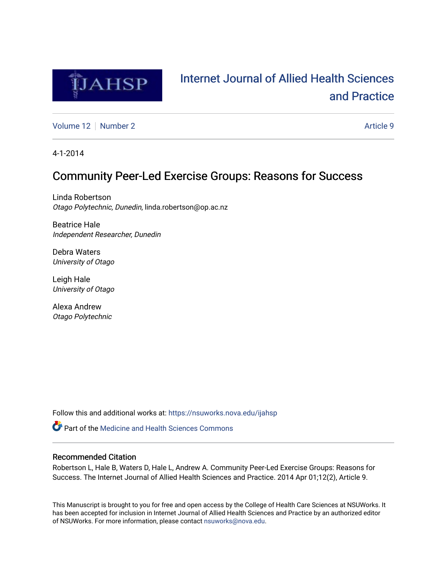

# [Internet Journal of Allied Health Sciences](https://nsuworks.nova.edu/ijahsp)  [and Practice](https://nsuworks.nova.edu/ijahsp)

[Volume 12](https://nsuworks.nova.edu/ijahsp/vol12) [Number 2](https://nsuworks.nova.edu/ijahsp/vol12/iss2) Article 9

4-1-2014

# Community Peer-Led Exercise Groups: Reasons for Success

Linda Robertson Otago Polytechnic, Dunedin, linda.robertson@op.ac.nz

Beatrice Hale Independent Researcher, Dunedin

Debra Waters University of Otago

Leigh Hale University of Otago

Alexa Andrew Otago Polytechnic

Follow this and additional works at: [https://nsuworks.nova.edu/ijahsp](https://nsuworks.nova.edu/ijahsp?utm_source=nsuworks.nova.edu%2Fijahsp%2Fvol12%2Fiss2%2F9&utm_medium=PDF&utm_campaign=PDFCoverPages) 

**C** Part of the Medicine and Health Sciences Commons

# Recommended Citation

Robertson L, Hale B, Waters D, Hale L, Andrew A. Community Peer-Led Exercise Groups: Reasons for Success. The Internet Journal of Allied Health Sciences and Practice. 2014 Apr 01;12(2), Article 9.

This Manuscript is brought to you for free and open access by the College of Health Care Sciences at NSUWorks. It has been accepted for inclusion in Internet Journal of Allied Health Sciences and Practice by an authorized editor of NSUWorks. For more information, please contact [nsuworks@nova.edu.](mailto:nsuworks@nova.edu)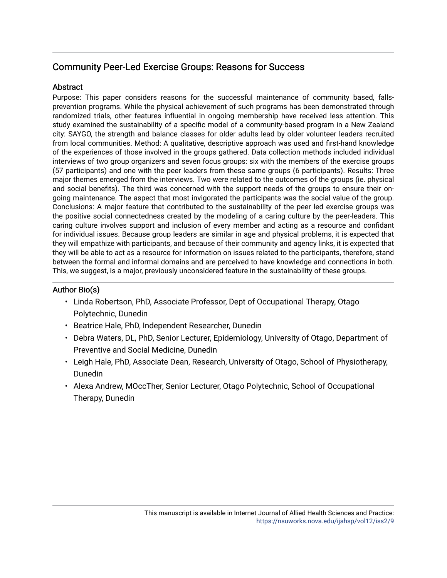# Community Peer-Led Exercise Groups: Reasons for Success

# Abstract

Purpose: This paper considers reasons for the successful maintenance of community based, fallsprevention programs. While the physical achievement of such programs has been demonstrated through randomized trials, other features influential in ongoing membership have received less attention. This study examined the sustainability of a specific model of a community-based program in a New Zealand city: SAYGO, the strength and balance classes for older adults lead by older volunteer leaders recruited from local communities. Method: A qualitative, descriptive approach was used and first-hand knowledge of the experiences of those involved in the groups gathered. Data collection methods included individual interviews of two group organizers and seven focus groups: six with the members of the exercise groups (57 participants) and one with the peer leaders from these same groups (6 participants). Results: Three major themes emerged from the interviews. Two were related to the outcomes of the groups (ie. physical and social benefits). The third was concerned with the support needs of the groups to ensure their ongoing maintenance. The aspect that most invigorated the participants was the social value of the group. Conclusions: A major feature that contributed to the sustainability of the peer led exercise groups was the positive social connectedness created by the modeling of a caring culture by the peer-leaders. This caring culture involves support and inclusion of every member and acting as a resource and confidant for individual issues. Because group leaders are similar in age and physical problems, it is expected that they will empathize with participants, and because of their community and agency links, it is expected that they will be able to act as a resource for information on issues related to the participants, therefore, stand between the formal and informal domains and are perceived to have knowledge and connections in both. This, we suggest, is a major, previously unconsidered feature in the sustainability of these groups.

# Author Bio(s)

- Linda Robertson, PhD, Associate Professor, Dept of Occupational Therapy, Otago Polytechnic, Dunedin
- Beatrice Hale, PhD, Independent Researcher, Dunedin
- Debra Waters, DL, PhD, Senior Lecturer, Epidemiology, University of Otago, Department of Preventive and Social Medicine, Dunedin
- Leigh Hale, PhD, Associate Dean, Research, University of Otago, School of Physiotherapy, Dunedin
- Alexa Andrew, MOccTher, Senior Lecturer, Otago Polytechnic, School of Occupational Therapy, Dunedin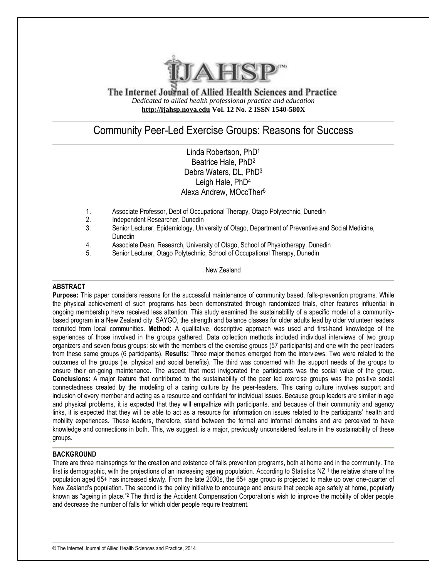

The Internet Journal of Allied Health Sciences and Practice *Dedicated to allied health professional practice and education* **[http://ijahsp.nova.edu](http://ijahsp.nsu.nova.edu/) Vol. 12 No. 2 ISSN 1540-580X**

# Community Peer-Led Exercise Groups: Reasons for Success

Linda Robertson, PhD<sup>1</sup> Beatrice Hale, PhD<sup>2</sup> Debra Waters, DL, PhD<sup>3</sup> Leigh Hale, PhD<sup>4</sup> Alexa Andrew, MOccTher<sup>5</sup>

- 1. Associate Professor, Dept of Occupational Therapy, Otago Polytechnic, Dunedin
- 2. Independent Researcher, Dunedin
- 3. Senior Lecturer, Epidemiology, University of Otago, Department of Preventive and Social Medicine, Dunedin
- 4. Associate Dean, Research, University of Otago, School of Physiotherapy, Dunedin
- 5. Senior Lecturer, Otago Polytechnic, School of Occupational Therapy, Dunedin

New Zealand

#### **ABSTRACT**

**Purpose:** This paper considers reasons for the successful maintenance of community based, falls-prevention programs. While the physical achievement of such programs has been demonstrated through randomized trials, other features influential in ongoing membership have received less attention. This study examined the sustainability of a specific model of a communitybased program in a New Zealand city: SAYGO, the strength and balance classes for older adults lead by older volunteer leaders recruited from local communities. **Method:** A qualitative, descriptive approach was used and first-hand knowledge of the experiences of those involved in the groups gathered. Data collection methods included individual interviews of two group organizers and seven focus groups: six with the members of the exercise groups (57 participants) and one with the peer leaders from these same groups (6 participants). **Results:** Three major themes emerged from the interviews. Two were related to the outcomes of the groups (ie. physical and social benefits). The third was concerned with the support needs of the groups to ensure their on-going maintenance. The aspect that most invigorated the participants was the social value of the group. **Conclusions:** A major feature that contributed to the sustainability of the peer led exercise groups was the positive social connectedness created by the modeling of a caring culture by the peer-leaders. This caring culture involves support and inclusion of every member and acting as a resource and confidant for individual issues. Because group leaders are similar in age and physical problems, it is expected that they will empathize with participants, and because of their community and agency links, it is expected that they will be able to act as a resource for information on issues related to the participants' health and mobility experiences. These leaders, therefore, stand between the formal and informal domains and are perceived to have knowledge and connections in both. This, we suggest, is a major, previously unconsidered feature in the sustainability of these groups.

## **BACKGROUND**

There are three mainsprings for the creation and existence of falls prevention programs, both at home and in the community. The first is demographic, with the projections of an increasing ageing population. According to Statistics NZ<sup>1</sup> the relative share of the population aged 65+ has increased slowly. From the late 2030s, the 65+ age group is projected to make up over one-quarter of New Zealand's population. The second is the policy initiative to encourage and ensure that people age safely at home, popularly known as "ageing in place."<sup>2</sup> The third is the Accident Compensation Corporation's wish to improve the mobility of older people and decrease the number of falls for which older people require treatment.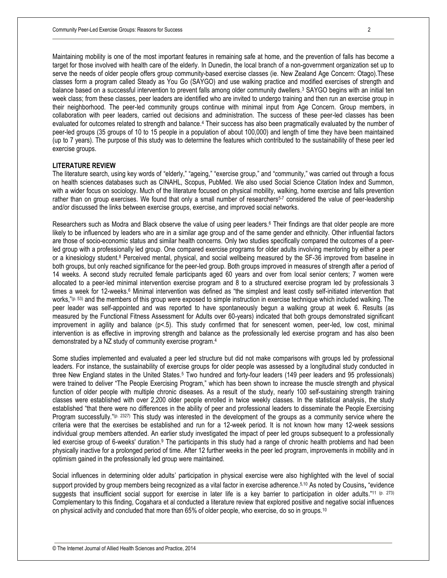Maintaining mobility is one of the most important features in remaining safe at home, and the prevention of falls has become a target for those involved with health care of the elderly. In Dunedin, the local branch of a non-government organization set up to serve the needs of older people offers group community-based exercise classes (ie. New Zealand Age Concern: Otago).These classes form a program called Steady as You Go (SAYGO) and use walking practice and modified exercises of strength and balance based on a successful intervention to prevent falls among older community dwellers. <sup>3</sup> SAYGO begins with an initial ten week class; from these classes, peer leaders are identified who are invited to undergo training and then run an exercise group in their neighborhood. The peer-led community groups continue with minimal input from Age Concern. Group members, in collaboration with peer leaders, carried out decisions and administration. The success of these peer-led classes has been evaluated for outcomes related to strength and balance.<sup>4</sup> Their success has also been pragmatically evaluated by the number of peer-led groups (35 groups of 10 to 15 people in a population of about 100,000) and length of time they have been maintained (up to 7 years). The purpose of this study was to determine the features which contributed to the sustainability of these peer led exercise groups.

#### **LITERATURE REVIEW**

The literature search, using key words of "elderly," "ageing," "exercise group," and "community," was carried out through a focus on health sciences databases such as CINAHL, Scopus, PubMed. We also used Social Science Citation Index and Summon, with a wider focus on sociology. Much of the literature focused on physical mobility, walking, home exercise and falls prevention rather than on group exercises. We found that only a small number of researchers<sup>5-7</sup> considered the value of peer-leadership and/or discussed the links between exercise groups, exercise, and improved social networks.

Researchers such as Modra and Black observe the value of using peer leaders. <sup>6</sup> Their findings are that older people are more likely to be influenced by leaders who are in a similar age group and of the same gender and ethnicity. Other influential factors are those of socio-economic status and similar health concerns. Only two studies specifically compared the outcomes of a peerled group with a professionally led group. One compared exercise programs for older adults involving mentoring by either a peer or a kinesiology student.<sup>8</sup> Perceived mental, physical, and social wellbeing measured by the SF-36 improved from baseline in both groups, but only reached significance for the peer-led group. Both groups improved in measures of strength after a period of 14 weeks. A second study recruited female participants aged 60 years and over from local senior centers; 7 women were allocated to a peer-led minimal intervention exercise program and 8 to a structured exercise program led by professionals 3 times a week for 12-weeks.<sup>6</sup> Minimal intervention was defined as "the simplest and least costly self-initiated intervention that works,"<sup>(p. 53)</sup> and the members of this group were exposed to simple instruction in exercise technique which included walking. The peer leader was self-appointed and was reported to have spontaneously begun a walking group at week 6. Results (as measured by the Functional Fitness Assessment for Adults over 60-years) indicated that both groups demonstrated significant improvement in agility and balance (p<.5). This study confirmed that for senescent women, peer-led, low cost, minimal intervention is as effective in improving strength and balance as the professionally led exercise program and has also been demonstrated by a NZ study of community exercise program.<sup>4</sup>

Some studies implemented and evaluated a peer led structure but did not make comparisons with groups led by professional leaders. For instance, the sustainability of exercise groups for older people was assessed by a longitudinal study conducted in three New England states in the United States. <sup>5</sup> Two hundred and forty-four leaders (149 peer leaders and 95 professionals) were trained to deliver "The People Exercising Program," which has been shown to increase the muscle strength and physical function of older people with multiple chronic diseases. As a result of the study, nearly 100 self-sustaining strength training classes were established with over 2,200 older people enrolled in twice weekly classes. In the statistical analysis, the study established "that there were no differences in the ability of peer and professional leaders to disseminate the People Exercising Program successfully."(p. 2327) This study was interested in the development of the groups as a community service where the criteria were that the exercises be established and run for a 12-week period. It is not known how many 12-week sessions individual group members attended. An earlier study investigated the impact of peer led groups subsequent to a professionally led exercise group of 6-weeks' duration.<sup>9</sup> The participants in this study had a range of chronic health problems and had been physically inactive for a prolonged period of time. After 12 further weeks in the peer led program, improvements in mobility and in optimism gained in the professionally led group were maintained.

Social influences in determining older adults' participation in physical exercise were also highlighted with the level of social support provided by group members being recognized as a vital factor in exercise adherence.<sup>5,10</sup> As noted by Cousins, "evidence suggests that insufficient social support for exercise in later life is a key barrier to participation in older adults."<sup>11 (p. 273)</sup> Complementary to this finding, Cogahara et al conducted a literature review that explored positive and negative social influences on physical activity and concluded that more than 65% of older people, who exercise, do so in groups.10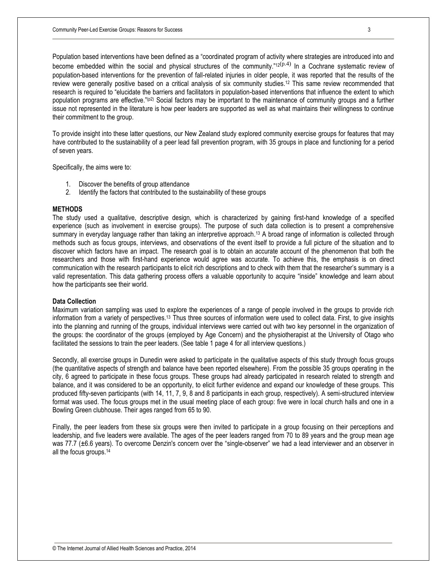Population based interventions have been defined as a "coordinated program of activity where strategies are introduced into and become embedded within the social and physical structures of the community."12<sup>(p.4)</sup> In a Cochrane systematic review of population-based interventions for the prevention of fall-related injuries in older people, it was reported that the results of the review were generally positive based on a critical analysis of six community studies. <sup>12</sup> This same review recommended that research is required to "elucidate the barriers and facilitators in population-based interventions that influence the extent to which population programs are effective."(p2) Social factors may be important to the maintenance of community groups and a further issue not represented in the literature is how peer leaders are supported as well as what maintains their willingness to continue their commitment to the group.

To provide insight into these latter questions, our New Zealand study explored community exercise groups for features that may have contributed to the sustainability of a peer lead fall prevention program, with 35 groups in place and functioning for a period of seven years.

Specifically, the aims were to:

- 1. Discover the benefits of group attendance
- 2. Identify the factors that contributed to the sustainability of these groups

# **METHODS**

The study used a qualitative, descriptive design, which is characterized by gaining first-hand knowledge of a specified experience (such as involvement in exercise groups). The purpose of such data collection is to present a comprehensive summary in everyday language rather than taking an interpretive approach.<sup>13</sup> A broad range of information is collected through methods such as focus groups, interviews, and observations of the event itself to provide a full picture of the situation and to discover which factors have an impact. The research goal is to obtain an accurate account of the phenomenon that both the researchers and those with first-hand experience would agree was accurate. To achieve this, the emphasis is on direct communication with the research participants to elicit rich descriptions and to check with them that the researcher's summary is a valid representation. This data gathering process offers a valuable opportunity to acquire "inside" knowledge and learn about how the participants see their world.

#### **Data Collection**

Maximum variation sampling was used to explore the experiences of a range of people involved in the groups to provide rich information from a variety of perspectives.<sup>13</sup> Thus three sources of information were used to collect data. First, to give insights into the planning and running of the groups, individual interviews were carried out with two key personnel in the organization of the groups: the coordinator of the groups (employed by Age Concern) and the physiotherapist at the University of Otago who facilitated the sessions to train the peer leaders. (See table 1 page 4 for all interview questions.)

Secondly, all exercise groups in Dunedin were asked to participate in the qualitative aspects of this study through focus groups (the quantitative aspects of strength and balance have been reported elsewhere). From the possible 35 groups operating in the city, 6 agreed to participate in these focus groups. These groups had already participated in research related to strength and balance, and it was considered to be an opportunity, to elicit further evidence and expand our knowledge of these groups. This produced fifty-seven participants (with 14, 11, 7, 9, 8 and 8 participants in each group, respectively). A semi-structured interview format was used. The focus groups met in the usual meeting place of each group: five were in local church halls and one in a Bowling Green clubhouse. Their ages ranged from 65 to 90.

Finally, the peer leaders from these six groups were then invited to participate in a group focusing on their perceptions and leadership, and five leaders were available. The ages of the peer leaders ranged from 70 to 89 years and the group mean age was 77.7 ( $\pm$ 6.6 years). To overcome Denzin's concern over the "single-observer" we had a lead interviewer and an observer in all the focus groups.14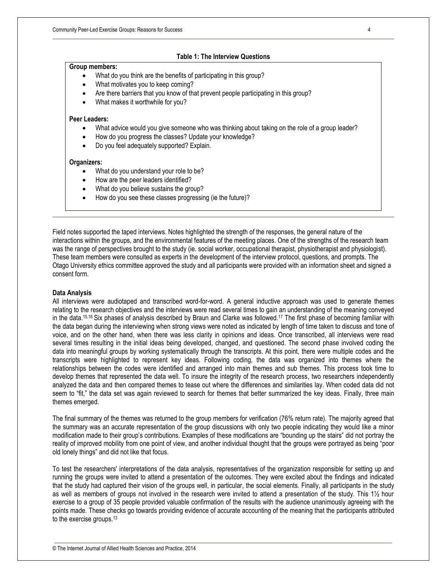### **Table 1: The Interview Questions**

#### **Group members:**

- What do you think are the benefits of participating in this group?
- What motivates you to keep coming?
- Are there barriers that you know of that prevent people participating in this group?
- What makes it worthwhile for you?

#### **Peer Leaders:**

- What advice would you give someone who was thinking about taking on the role of a group leader?
- How do you progress the classes? Update your knowledge?
- Do you feel adequately supported? Explain.

#### **Organizers:**

- What do you understand your role to be?
- How are the peer leaders identified?
- What do you believe sustains the group?
- How do you see these classes progressing (ie the future)?

Field notes supported the taped interviews. Notes highlighted the strength of the responses, the general nature of the interactions within the groups, and the environmental features of the meeting places. One of the strengths of the research team was the range of perspectives brought to the study (ie. social worker, occupational therapist, physiotherapist and physiologist). These team members were consulted as experts in the development of the interview protocol, questions, and prompts. The Otago University ethics committee approved the study and all participants were provided with an information sheet and signed a consent form.

#### **Data Analysis**

All interviews were audiotaped and transcribed word-for-word. A general inductive approach was used to generate themes relating to the research objectives and the interviews were read several times to gain an understanding of the meaning conveyed in the data.15,16 Six phases of analysis described by Braun and Clarke was followed.<sup>17</sup> The first phase of becoming familiar with the data began during the interviewing when strong views were noted as indicated by length of time taken to discuss and tone of voice, and on the other hand, when there was less clarity in opinions and ideas. Once transcribed, all interviews were read several times resulting in the initial ideas being developed, changed, and questioned. The second phase involved coding the data into meaningful groups by working systematically through the transcripts. At this point, there were multiple codes and the transcripts were highlighted to represent key ideas. Following coding, the data was organized into themes where the relationships between the codes were identified and arranged into main themes and sub themes. This process took time to develop themes that represented the data well. To insure the integrity of the research process, two researchers independently analyzed the data and then compared themes to tease out where the differences and similarities lay. When coded data did not seem to "fit," the data set was again reviewed to search for themes that better summarized the key ideas. Finally, three main themes emerged.

The final summary of the themes was returned to the group members for verification (76% return rate). The majority agreed that the summary was an accurate representation of the group discussions with only two people indicating they would like a minor modification made to their group's contributions. Examples of these modifications are "bounding up the stairs" did not portray the reality of improved mobility from one point of view, and another individual thought that the groups were portrayed as being "poor old lonely things" and did not like that focus.

To test the researchers' interpretations of the data analysis, representatives of the organization responsible for setting up and running the groups were invited to attend a presentation of the outcomes. They were excited about the findings and indicated that the study had captured their vision of the groups well, in particular, the social elements. Finally, all participants in the study as well as members of groups not involved in the research were invited to attend a presentation of the study. This 1½ hour exercise to a group of 35 people provided valuable confirmation of the results with the audience unanimously agreeing with the points made. These checks go towards providing evidence of accurate accounting of the meaning that the participants attributed to the exercise groups.<sup>13</sup>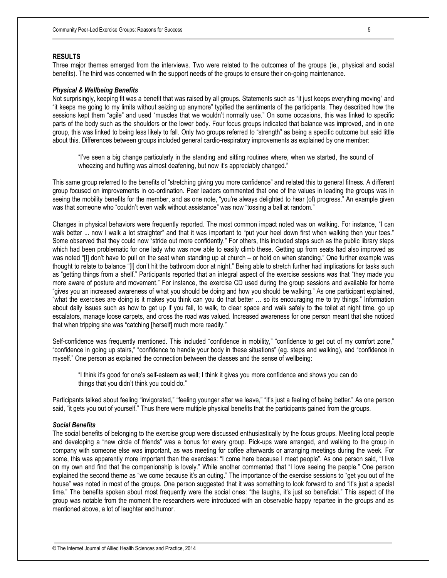#### **RESULTS**

Three major themes emerged from the interviews. Two were related to the outcomes of the groups (ie., physical and social benefits). The third was concerned with the support needs of the groups to ensure their on-going maintenance.

#### *Physical & Wellbeing Benefits*

Not surprisingly, keeping fit was a benefit that was raised by all groups. Statements such as "it just keeps everything moving" and "it keeps me going to my limits without seizing up anymore" typified the sentiments of the participants. They described how the sessions kept them "agile" and used "muscles that we wouldn't normally use." On some occasions, this was linked to specific parts of the body such as the shoulders or the lower body. Four focus groups indicated that balance was improved, and in one group, this was linked to being less likely to fall. Only two groups referred to "strength" as being a specific outcome but said little about this. Differences between groups included general cardio-respiratory improvements as explained by one member:

"I've seen a big change particularly in the standing and sitting routines where, when we started, the sound of wheezing and huffing was almost deafening, but now it's appreciably changed."

This same group referred to the benefits of "stretching giving you more confidence" and related this to general fitness. A different group focused on improvements in co-ordination. Peer leaders commented that one of the values in leading the groups was in seeing the mobility benefits for the member, and as one note, "you're always delighted to hear (of) progress." An example given was that someone who "couldn't even walk without assistance" was now "tossing a ball at random."

Changes in physical behaviors were frequently reported. The most common impact noted was on walking. For instance, "I can walk better ... now I walk a lot straighter" and that it was important to "put your heel down first when walking then your toes." Some observed that they could now "stride out more confidently." For others, this included steps such as the public library steps which had been problematic for one lady who was now able to easily climb these. Getting up from seats had also improved as was noted "[I] don't have to pull on the seat when standing up at church – or hold on when standing." One further example was thought to relate to balance "[I] don't hit the bathroom door at night." Being able to stretch further had implications for tasks such as "getting things from a shelf." Participants reported that an integral aspect of the exercise sessions was that "they made you more aware of posture and movement." For instance, the exercise CD used during the group sessions and available for home "gives you an increased awareness of what you should be doing and how you should be walking." As one participant explained, "what the exercises are doing is it makes you think can you do that better … so its encouraging me to try things." Information about daily issues such as how to get up if you fall, to walk, to clear space and walk safely to the toilet at night time, go up escalators, manage loose carpets, and cross the road was valued. Increased awareness for one person meant that she noticed that when tripping she was "catching [herself] much more readily."

Self-confidence was frequently mentioned. This included "confidence in mobility," "confidence to get out of my comfort zone," "confidence in going up stairs," "confidence to handle your body in these situations" (eg. steps and walking), and "confidence in myself." One person as explained the connection between the classes and the sense of wellbeing:

"I think it's good for one's self-esteem as well; I think it gives you more confidence and shows you can do things that you didn't think you could do."

Participants talked about feeling "invigorated," "feeling younger after we leave," "it's just a feeling of being better." As one person said, "it gets you out of yourself." Thus there were multiple physical benefits that the participants gained from the groups.

#### *Social Benefits*

The social benefits of belonging to the exercise group were discussed enthusiastically by the focus groups. Meeting local people and developing a "new circle of friends" was a bonus for every group. Pick-ups were arranged, and walking to the group in company with someone else was important, as was meeting for coffee afterwards or arranging meetings during the week. For some, this was apparently more important than the exercises: "I come here because I meet people". As one person said, "I live on my own and find that the companionship is lovely." While another commented that "I love seeing the people." One person explained the second theme as "we come because it's an outing." The importance of the exercise sessions to "get you out of the house" was noted in most of the groups. One person suggested that it was something to look forward to and "it's just a special time." The benefits spoken about most frequently were the social ones: "the laughs, it's just so beneficial." This aspect of the group was notable from the moment the researchers were introduced with an observable happy repartee in the groups and as mentioned above, a lot of laughter and humor.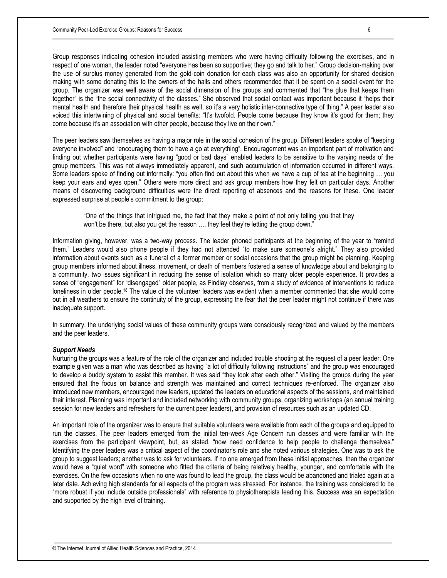Group responses indicating cohesion included assisting members who were having difficulty following the exercises, and in respect of one woman, the leader noted "everyone has been so supportive; they go and talk to her." Group decision-making over the use of surplus money generated from the gold-coin donation for each class was also an opportunity for shared decision making with some donating this to the owners of the halls and others recommended that it be spent on a social event for the group. The organizer was well aware of the social dimension of the groups and commented that "the glue that keeps them together" is the "the social connectivity of the classes." She observed that social contact was important because it "helps their mental health and therefore their physical health as well, so it's a very holistic inter-connective type of thing." A peer leader also voiced this intertwining of physical and social benefits: "It's twofold. People come because they know it's good for them; they come because it's an association with other people, because they live on their own."

The peer leaders saw themselves as having a major role in the social cohesion of the group. Different leaders spoke of "keeping everyone involved" and "encouraging them to have a go at everything". Encouragement was an important part of motivation and finding out whether participants were having "good or bad days" enabled leaders to be sensitive to the varying needs of the group members. This was not always immediately apparent, and such accumulation of information occurred in different ways. Some leaders spoke of finding out informally: "you often find out about this when we have a cup of tea at the beginning … you keep your ears and eyes open." Others were more direct and ask group members how they felt on particular days. Another means of discovering background difficulties were the direct reporting of absences and the reasons for these. One leader expressed surprise at people's commitment to the group:

"One of the things that intrigued me, the fact that they make a point of not only telling you that they won't be there, but also you get the reason .... they feel they're letting the group down."

Information giving, however, was a two-way process. The leader phoned participants at the beginning of the year to "remind them." Leaders would also phone people if they had not attended "to make sure someone's alright." They also provided information about events such as a funeral of a former member or social occasions that the group might be planning. Keeping group members informed about illness, movement, or death of members fostered a sense of knowledge about and belonging to a community, two issues significant in reducing the sense of isolation which so many older people experience. It provides a sense of "engagement" for "disengaged" older people, as Findlay observes, from a study of evidence of interventions to reduce loneliness in older people.<sup>18</sup> The value of the volunteer leaders was evident when a member commented that she would come out in all weathers to ensure the continuity of the group, expressing the fear that the peer leader might not continue if there was inadequate support.

In summary, the underlying social values of these community groups were consciously recognized and valued by the members and the peer leaders.

#### *Support Needs*

Nurturing the groups was a feature of the role of the organizer and included trouble shooting at the request of a peer leader. One example given was a man who was described as having "a lot of difficulty following instructions" and the group was encouraged to develop a buddy system to assist this member. It was said "they look after each other." Visiting the groups during the year ensured that the focus on balance and strength was maintained and correct techniques re-enforced. The organizer also introduced new members, encouraged new leaders, updated the leaders on educational aspects of the sessions, and maintained their interest. Planning was important and included networking with community groups, organizing workshops (an annual training session for new leaders and refreshers for the current peer leaders), and provision of resources such as an updated CD.

An important role of the organizer was to ensure that suitable volunteers were available from each of the groups and equipped to run the classes. The peer leaders emerged from the initial ten-week Age Concern run classes and were familiar with the exercises from the participant viewpoint, but, as stated, "now need confidence to help people to challenge themselves." Identifying the peer leaders was a critical aspect of the coordinator's role and she noted various strategies. One was to ask the group to suggest leaders; another was to ask for volunteers. If no one emerged from these initial approaches, then the organizer would have a "quiet word" with someone who fitted the criteria of being relatively healthy, younger, and comfortable with the exercises. On the few occasions when no one was found to lead the group, the class would be abandoned and trialed again at a later date. Achieving high standards for all aspects of the program was stressed. For instance, the training was considered to be "more robust if you include outside professionals" with reference to physiotherapists leading this. Success was an expectation and supported by the high level of training.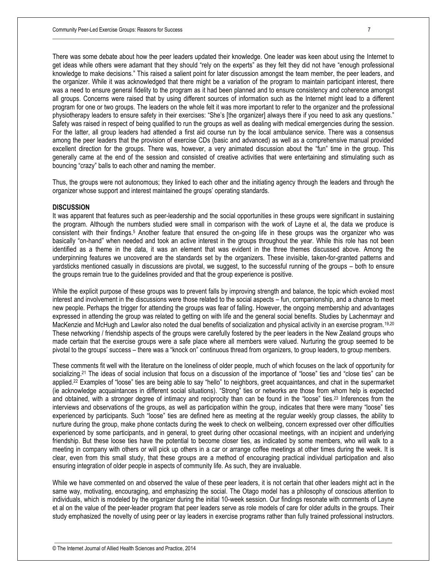There was some debate about how the peer leaders updated their knowledge. One leader was keen about using the Internet to get ideas while others were adamant that they should "rely on the experts" as they felt they did not have "enough professional knowledge to make decisions." This raised a salient point for later discussion amongst the team member, the peer leaders, and the organizer. While it was acknowledged that there might be a variation of the program to maintain participant interest, there was a need to ensure general fidelity to the program as it had been planned and to ensure consistency and coherence amongst all groups. Concerns were raised that by using different sources of information such as the Internet might lead to a different program for one or two groups. The leaders on the whole felt it was more important to refer to the organizer and the professional physiotherapy leaders to ensure safety in their exercises: "She's [the organizer] always there if you need to ask any questions." Safety was raised in respect of being qualified to run the groups as well as dealing with medical emergencies during the session. For the latter, all group leaders had attended a first aid course run by the local ambulance service. There was a consensus among the peer leaders that the provision of exercise CDs (basic and advanced) as well as a comprehensive manual provided excellent direction for the groups. There was, however, a very animated discussion about the "fun" time in the group. This generally came at the end of the session and consisted of creative activities that were entertaining and stimulating such as bouncing "crazy" balls to each other and naming the member.

Thus, the groups were not autonomous; they linked to each other and the initiating agency through the leaders and through the organizer whose support and interest maintained the groups' operating standards.

#### **DISCUSSION**

It was apparent that features such as peer-leadership and the social opportunities in these groups were significant in sustaining the program. Although the numbers studied were small in comparison with the work of Layne et al, the data we produce is consistent with their findings.<sup>5</sup> Another feature that ensured the on-going life in these groups was the organizer who was basically "on-hand" when needed and took an active interest in the groups throughout the year. While this role has not been identified as a theme in the data, it was an element that was evident in the three themes discussed above. Among the underpinning features we uncovered are the standards set by the organizers. These invisible, taken-for-granted patterns and yardsticks mentioned casually in discussions are pivotal, we suggest, to the successful running of the groups – both to ensure the groups remain true to the guidelines provided and that the group experience is positive.

While the explicit purpose of these groups was to prevent falls by improving strength and balance, the topic which evoked most interest and involvement in the discussions were those related to the social aspects – fun, companionship, and a chance to meet new people. Perhaps the trigger for attending the groups was fear of falling. However, the ongoing membership and advantages expressed in attending the group was related to getting on with life and the general social benefits. Studies by Lachenmayr and MacKenzie and McHugh and Lawlor also noted the dual benefits of socialization and physical activity in an exercise program.<sup>19,20</sup> These networking / friendship aspects of the groups were carefully fostered by the peer leaders in the New Zealand groups who made certain that the exercise groups were a safe place where all members were valued. Nurturing the group seemed to be pivotal to the groups' success – there was a "knock on" continuous thread from organizers, to group leaders, to group members.

These comments fit well with the literature on the loneliness of older people, much of which focuses on the lack of opportunity for socializing. <sup>21</sup> The ideas of social inclusion that focus on a discussion of the importance of "loose" ties and "close ties" can be applied. <sup>22</sup> Examples of "loose" ties are being able to say "hello" to neighbors, greet acquaintances, and chat in the supermarket (ie acknowledge acquaintances in different social situations). "Strong" ties or networks are those from whom help is expected and obtained, with a stronger degree of intimacy and reciprocity than can be found in the "loose" ties. <sup>23</sup> Inferences from the interviews and observations of the groups, as well as participation within the group, indicates that there were many "loose" ties experienced by participants. Such "loose" ties are defined here as meeting at the regular weekly group classes, the ability to nurture during the group, make phone contacts during the week to check on wellbeing, concern expressed over other difficulties experienced by some participants, and in general, to greet during other occasional meetings, with an incipient and underlying friendship. But these loose ties have the potential to become closer ties, as indicated by some members, who will walk to a meeting in company with others or will pick up others in a car or arrange coffee meetings at other times during the week. It is clear, even from this small study, that these groups are a method of encouraging practical individual participation and also ensuring integration of older people in aspects of community life. As such, they are invaluable.

While we have commented on and observed the value of these peer leaders, it is not certain that other leaders might act in the same way, motivating, encouraging, and emphasizing the social. The Otago model has a philosophy of conscious attention to individuals, which is modeled by the organizer during the initial 10-week session. Our findings resonate with comments of Layne et al on the value of the peer-leader program that peer leaders serve as role models of care for older adults in the groups. Their study emphasized the novelty of using peer or lay leaders in exercise programs rather than fully trained professional instructors.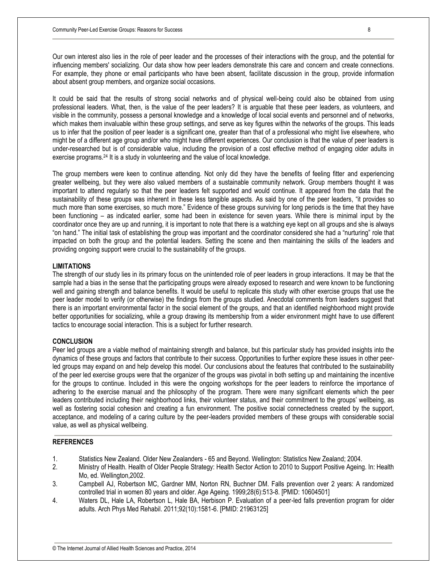Our own interest also lies in the role of peer leader and the processes of their interactions with the group, and the potential for influencing members' socializing. Our data show how peer leaders demonstrate this care and concern and create connections. For example, they phone or email participants who have been absent, facilitate discussion in the group, provide information about absent group members, and organize social occasions.

It could be said that the results of strong social networks and of physical well-being could also be obtained from using professional leaders. What, then, is the value of the peer leaders? It is arguable that these peer leaders, as volunteers, and visible in the community, possess a personal knowledge and a knowledge of local social events and personnel and of networks, which makes them invaluable within these group settings, and serve as key figures within the networks of the groups. This leads us to infer that the position of peer leader is a significant one, greater than that of a professional who might live elsewhere, who might be of a different age group and/or who might have different experiences. Our conclusion is that the value of peer leaders is under-researched but is of considerable value, including the provision of a cost effective method of engaging older adults in exercise programs.<sup>24</sup> It is a study in volunteering and the value of local knowledge.

The group members were keen to continue attending. Not only did they have the benefits of feeling fitter and experiencing greater wellbeing, but they were also valued members of a sustainable community network. Group members thought it was important to attend regularly so that the peer leaders felt supported and would continue. It appeared from the data that the sustainability of these groups was inherent in these less tangible aspects. As said by one of the peer leaders, "it provides so much more than some exercises, so much more." Evidence of these groups surviving for long periods is the time that they have been functioning – as indicated earlier, some had been in existence for seven years. While there is minimal input by the coordinator once they are up and running, it is important to note that there is a watching eye kept on all groups and she is always "on hand." The initial task of establishing the group was important and the coordinator considered she had a "nurturing" role that impacted on both the group and the potential leaders. Setting the scene and then maintaining the skills of the leaders and providing ongoing support were crucial to the sustainability of the groups.

## **LIMITATIONS**

The strength of our study lies in its primary focus on the unintended role of peer leaders in group interactions. It may be that the sample had a bias in the sense that the participating groups were already exposed to research and were known to be functioning well and gaining strength and balance benefits. It would be useful to replicate this study with other exercise groups that use the peer leader model to verify (or otherwise) the findings from the groups studied. Anecdotal comments from leaders suggest that there is an important environmental factor in the social element of the groups, and that an identified neighborhood might provide better opportunities for socializing, while a group drawing its membership from a wider environment might have to use different tactics to encourage social interaction. This is a subject for further research.

## **CONCLUSION**

Peer led groups are a viable method of maintaining strength and balance, but this particular study has provided insights into the dynamics of these groups and factors that contribute to their success. Opportunities to further explore these issues in other peerled groups may expand on and help develop this model. Our conclusions about the features that contributed to the sustainability of the peer led exercise groups were that the organizer of the groups was pivotal in both setting up and maintaining the incentive for the groups to continue. Included in this were the ongoing workshops for the peer leaders to reinforce the importance of adhering to the exercise manual and the philosophy of the program. There were many significant elements which the peer leaders contributed including their neighborhood links, their volunteer status, and their commitment to the groups' wellbeing, as well as fostering social cohesion and creating a fun environment. The positive social connectedness created by the support, acceptance, and modeling of a caring culture by the peer-leaders provided members of these groups with considerable social value, as well as physical wellbeing.

### **REFERENCES**

- 1. Statistics New Zealand. Older New Zealanders 65 and Beyond. Wellington: Statistics New Zealand; 2004.
- 2. Ministry of Health. Health of Older People Strategy: Health Sector Action to 2010 to Support Positive Ageing. In: Health Mo, ed. Wellington,2002.
- 3. Campbell AJ, Robertson MC, Gardner MM, Norton RN, Buchner DM. Falls prevention over 2 years: A randomized controlled trial in women 80 years and older. Age Ageing. 1999;28(6):513-8. [PMID: 10604501]
- 4. Waters DL, Hale LA, Robertson L, Hale BA, Herbison P. Evaluation of a peer-led falls prevention program for older adults. Arch Phys Med Rehabil. 2011;92(10):1581-6. [PMID: 21963125]